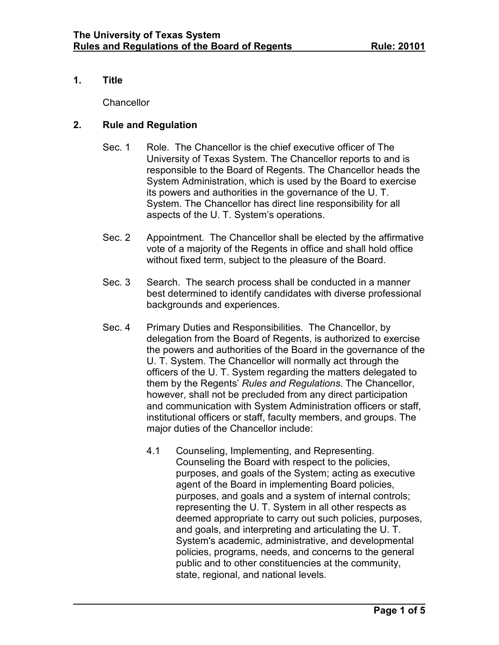#### **1. Title**

**Chancellor** 

### **2. Rule and Regulation**

- Sec. 1 Role. The Chancellor is the chief executive officer of The University of Texas System. The Chancellor reports to and is responsible to the Board of Regents. The Chancellor heads the System Administration, which is used by the Board to exercise its powers and authorities in the governance of the U. T. System. The Chancellor has direct line responsibility for all aspects of the U. T. System's operations.
- Sec. 2 Appointment. The Chancellor shall be elected by the affirmative vote of a majority of the Regents in office and shall hold office without fixed term, subject to the pleasure of the Board.
- Sec. 3 Search. The search process shall be conducted in a manner best determined to identify candidates with diverse professional backgrounds and experiences.
- Sec. 4 Primary Duties and Responsibilities. The Chancellor, by delegation from the Board of Regents, is authorized to exercise the powers and authorities of the Board in the governance of the U. T. System. The Chancellor will normally act through the officers of the U. T. System regarding the matters delegated to them by the Regents' *Rules and Regulations*. The Chancellor, however, shall not be precluded from any direct participation and communication with System Administration officers or staff, institutional officers or staff, faculty members, and groups. The major duties of the Chancellor include:
	- 4.1 Counseling, Implementing, and Representing. Counseling the Board with respect to the policies, purposes, and goals of the System; acting as executive agent of the Board in implementing Board policies, purposes, and goals and a system of internal controls; representing the U. T. System in all other respects as deemed appropriate to carry out such policies, purposes, and goals, and interpreting and articulating the U. T. System's academic, administrative, and developmental policies, programs, needs, and concerns to the general public and to other constituencies at the community, state, regional, and national levels.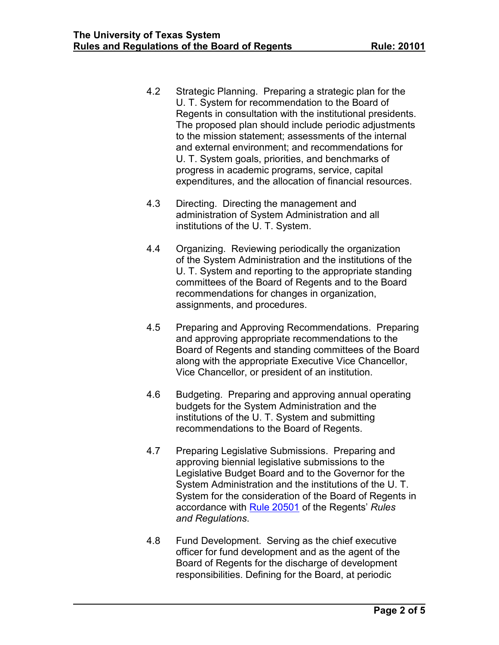- 4.2 Strategic Planning. Preparing a strategic plan for the U. T. System for recommendation to the Board of Regents in consultation with the institutional presidents. The proposed plan should include periodic adjustments to the mission statement; assessments of the internal and external environment; and recommendations for U. T. System goals, priorities, and benchmarks of progress in academic programs, service, capital expenditures, and the allocation of financial resources.
- 4.3 Directing. Directing the management and administration of System Administration and all institutions of the U. T. System.
- 4.4 Organizing. Reviewing periodically the organization of the System Administration and the institutions of the U. T. System and reporting to the appropriate standing committees of the Board of Regents and to the Board recommendations for changes in organization, assignments, and procedures.
- 4.5 Preparing and Approving Recommendations. Preparing and approving appropriate recommendations to the Board of Regents and standing committees of the Board along with the appropriate Executive Vice Chancellor, Vice Chancellor, or president of an institution.
- 4.6 Budgeting. Preparing and approving annual operating budgets for the System Administration and the institutions of the U. T. System and submitting recommendations to the Board of Regents.
- 4.7 Preparing Legislative Submissions. Preparing and approving biennial legislative submissions to the Legislative Budget Board and to the Governor for the System Administration and the institutions of the U. T. System for the consideration of the Board of Regents in accordance with Rule [20501](http://www.utsystem.edu/board-of-regents/rules-regulations/rules/20501-accounting-budgets-and-legislative-appropriations) of the Regents' *Rules and Regulations*.
- 4.8 Fund Development. Serving as the chief executive officer for fund development and as the agent of the Board of Regents for the discharge of development responsibilities. Defining for the Board, at periodic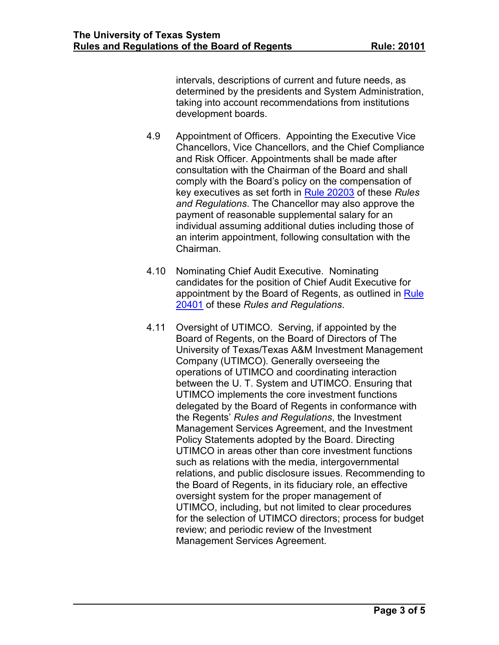intervals, descriptions of current and future needs, as determined by the presidents and System Administration, taking into account recommendations from institutions development boards.

- 4.9 Appointment of Officers. Appointing the Executive Vice Chancellors, Vice Chancellors, and the Chief Compliance and Risk Officer. Appointments shall be made after consultation with the Chairman of the Board and shall comply with the Board's policy on the compensation of key executives as set forth in Rule [20203](http://www.utsystem.edu/board-of-regents/rules-regulations/rules/20203-compensation-key-executives) of these *Rules and Regulations*. The Chancellor may also approve the payment of reasonable supplemental salary for an individual assuming additional duties including those of an interim appointment, following consultation with the Chairman.
- 4.10 Nominating Chief Audit Executive. Nominating candidates for the position of Chief Audit Executive for appointment by the Board of Regents, as outlined in [Rule](http://www.utsystem.edu/board-of-regents/rules-regulations/rules/20401-audit-and-compliance) [20401](http://www.utsystem.edu/board-of-regents/rules-regulations/rules/20401-audit-and-compliance) of these *Rules and Regulations*.
- 4.11 Oversight of UTIMCO. Serving, if appointed by the Board of Regents, on the Board of Directors of The University of Texas/Texas A&M Investment Management Company (UTIMCO). Generally overseeing the operations of UTIMCO and coordinating interaction between the U. T. System and UTIMCO. Ensuring that UTIMCO implements the core investment functions delegated by the Board of Regents in conformance with the Regents' *Rules and Regulations*, the Investment Management Services Agreement, and the Investment Policy Statements adopted by the Board. Directing UTIMCO in areas other than core investment functions such as relations with the media, intergovernmental relations, and public disclosure issues. Recommending to the Board of Regents, in its fiduciary role, an effective oversight system for the proper management of UTIMCO, including, but not limited to clear procedures for the selection of UTIMCO directors; process for budget review; and periodic review of the Investment Management Services Agreement.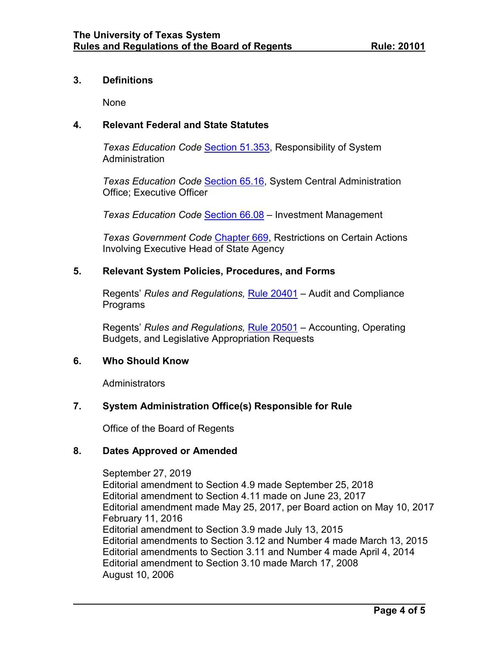#### **3. Definitions**

None

## **4. Relevant Federal and State Statutes**

*Texas Education Code* [Section](http://www.statutes.legis.state.tx.us/Docs/ED/htm/ED.51.htm#51.353) 51.353, Responsibility of System **Administration** 

*Texas Education Code* [Section](http://www.statutes.legis.state.tx.us/Docs/ED/htm/ED.65.htm#65.16) 65.16, System Central Administration Office; Executive Officer

*Texas Education Code* [Section 66.08](http://www.statutes.legis.state.tx.us/Docs/ED/htm/ED.66.htm#66.08) – Investment Management

*Texas Government Code* [Chapter 669,](http://www.statutes.legis.state.tx.us/Docs/GV/htm/GV.669.htm) Restrictions on Certain Actions Involving Executive Head of State Agency

### **5. Relevant System Policies, Procedures, and Forms**

Regents' *Rules and Regulations,* Rule [20401](http://www.utsystem.edu/board-of-regents/rules-regulations/rules/20401-audit-and-compliance) – Audit and Compliance Programs

Regents' *Rules and Regulations,* Rule [20501](http://www.utsystem.edu/board-of-regents/rules-regulations/rules/20501-accounting-budgets-and-legislative-appropriations) – Accounting, Operating Budgets, and Legislative Appropriation Requests

### **6. Who Should Know**

**Administrators** 

### **7. System Administration Office(s) Responsible for Rule**

Office of the Board of Regents

### **8. Dates Approved or Amended**

September 27, 2019 Editorial amendment to Section 4.9 made September 25, 2018 Editorial amendment to Section 4.11 made on June 23, 2017 Editorial amendment made May 25, 2017, per Board action on May 10, 2017 February 11, 2016 Editorial amendment to Section 3.9 made July 13, 2015 Editorial amendments to Section 3.12 and Number 4 made March 13, 2015 Editorial amendments to Section 3.11 and Number 4 made April 4, 2014 Editorial amendment to Section 3.10 made March 17, 2008 August 10, 2006